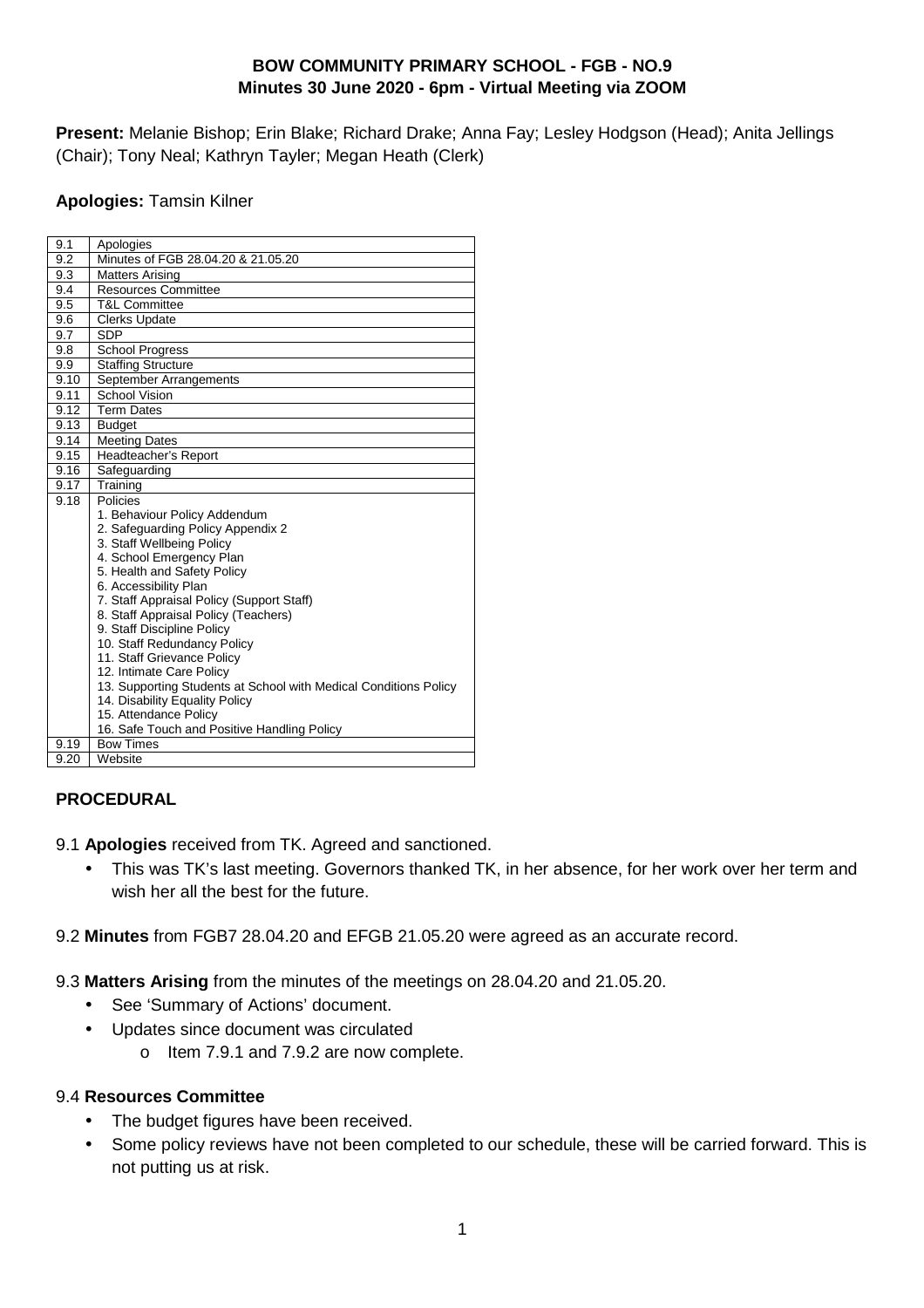# **BOW COMMUNITY PRIMARY SCHOOL - FGB - NO.9 Minutes 30 June 2020 - 6pm - Virtual Meeting via ZOOM**

**Present:** Melanie Bishop; Erin Blake; Richard Drake; Anna Fay; Lesley Hodgson (Head); Anita Jellings (Chair); Tony Neal; Kathryn Tayler; Megan Heath (Clerk)

#### **Apologies:** Tamsin Kilner

| 9.1  | Apologies                                                                                                                                                                                                                                                                                                                                                                                                                                                                                                                                 |
|------|-------------------------------------------------------------------------------------------------------------------------------------------------------------------------------------------------------------------------------------------------------------------------------------------------------------------------------------------------------------------------------------------------------------------------------------------------------------------------------------------------------------------------------------------|
| 9.2  | Minutes of FGB 28.04.20 & 21.05.20                                                                                                                                                                                                                                                                                                                                                                                                                                                                                                        |
| 9.3  | Matters Arising                                                                                                                                                                                                                                                                                                                                                                                                                                                                                                                           |
| 9.4  | <b>Resources Committee</b>                                                                                                                                                                                                                                                                                                                                                                                                                                                                                                                |
| 9.5  | <b>T&amp;L Committee</b>                                                                                                                                                                                                                                                                                                                                                                                                                                                                                                                  |
| 9.6  | <b>Clerks Update</b>                                                                                                                                                                                                                                                                                                                                                                                                                                                                                                                      |
| 9.7  | <b>SDP</b>                                                                                                                                                                                                                                                                                                                                                                                                                                                                                                                                |
| 9.8  | <b>School Progress</b>                                                                                                                                                                                                                                                                                                                                                                                                                                                                                                                    |
| 9.9  | <b>Staffing Structure</b>                                                                                                                                                                                                                                                                                                                                                                                                                                                                                                                 |
| 9.10 | September Arrangements                                                                                                                                                                                                                                                                                                                                                                                                                                                                                                                    |
| 9.11 | <b>School Vision</b>                                                                                                                                                                                                                                                                                                                                                                                                                                                                                                                      |
| 9.12 | <b>Term Dates</b>                                                                                                                                                                                                                                                                                                                                                                                                                                                                                                                         |
| 9.13 | <b>Budget</b>                                                                                                                                                                                                                                                                                                                                                                                                                                                                                                                             |
| 9.14 | <b>Meeting Dates</b>                                                                                                                                                                                                                                                                                                                                                                                                                                                                                                                      |
| 9.15 | Headteacher's Report                                                                                                                                                                                                                                                                                                                                                                                                                                                                                                                      |
| 9.16 | Safequarding                                                                                                                                                                                                                                                                                                                                                                                                                                                                                                                              |
| 9.17 | Training                                                                                                                                                                                                                                                                                                                                                                                                                                                                                                                                  |
| 9.18 | Policies<br>1. Behaviour Policy Addendum<br>2. Safeguarding Policy Appendix 2<br>3. Staff Wellbeing Policy<br>4. School Emergency Plan<br>5. Health and Safety Policy<br>6. Accessibility Plan<br>7. Staff Appraisal Policy (Support Staff)<br>8. Staff Appraisal Policy (Teachers)<br>9. Staff Discipline Policy<br>10. Staff Redundancy Policy<br>11. Staff Grievance Policy<br>12. Intimate Care Policy<br>13. Supporting Students at School with Medical Conditions Policy<br>14. Disability Equality Policy<br>15. Attendance Policy |
| 9.19 | 16. Safe Touch and Positive Handling Policy<br><b>Bow Times</b>                                                                                                                                                                                                                                                                                                                                                                                                                                                                           |
| 9.20 | Website                                                                                                                                                                                                                                                                                                                                                                                                                                                                                                                                   |
|      |                                                                                                                                                                                                                                                                                                                                                                                                                                                                                                                                           |

### **PROCEDURAL**

9.1 **Apologies** received from TK. Agreed and sanctioned.

- This was TK's last meeting. Governors thanked TK, in her absence, for her work over her term and wish her all the best for the future.
- 9.2 **Minutes** from FGB7 28.04.20 and EFGB 21.05.20 were agreed as an accurate record.
- 9.3 **Matters Arising** from the minutes of the meetings on 28.04.20 and 21.05.20.
	- See 'Summary of Actions' document.
	- Updates since document was circulated
		- o Item 7.9.1 and 7.9.2 are now complete.

### 9.4 **Resources Committee**

- The budget figures have been received.
- Some policy reviews have not been completed to our schedule, these will be carried forward. This is not putting us at risk.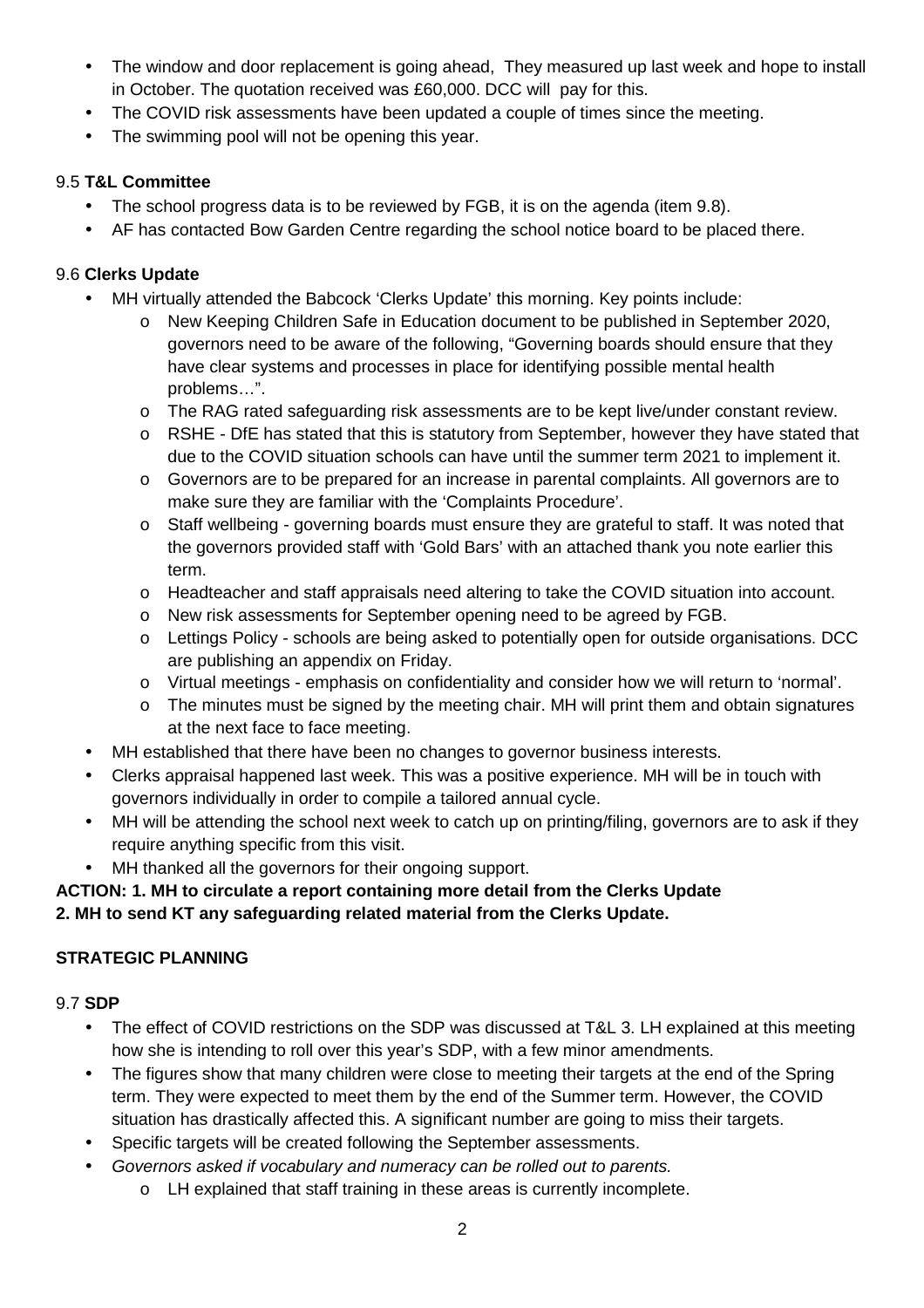- The window and door replacement is going ahead, They measured up last week and hope to install in October. The quotation received was £60,000. DCC will pay for this.
- The COVID risk assessments have been updated a couple of times since the meeting.
- The swimming pool will not be opening this year.

# 9.5 **T&L Committee**

- The school progress data is to be reviewed by FGB, it is on the agenda (item 9.8).
- AF has contacted Bow Garden Centre regarding the school notice board to be placed there.

# 9.6 **Clerks Update**

- MH virtually attended the Babcock 'Clerks Update' this morning. Key points include:
	- o New Keeping Children Safe in Education document to be published in September 2020, governors need to be aware of the following, "Governing boards should ensure that they have clear systems and processes in place for identifying possible mental health problems…".
	- o The RAG rated safeguarding risk assessments are to be kept live/under constant review.
	- o RSHE DfE has stated that this is statutory from September, however they have stated that due to the COVID situation schools can have until the summer term 2021 to implement it.
	- o Governors are to be prepared for an increase in parental complaints. All governors are to make sure they are familiar with the 'Complaints Procedure'.
	- o Staff wellbeing governing boards must ensure they are grateful to staff. It was noted that the governors provided staff with 'Gold Bars' with an attached thank you note earlier this term.
	- o Headteacher and staff appraisals need altering to take the COVID situation into account.
	- o New risk assessments for September opening need to be agreed by FGB.
	- o Lettings Policy schools are being asked to potentially open for outside organisations. DCC are publishing an appendix on Friday.
	- o Virtual meetings emphasis on confidentiality and consider how we will return to 'normal'.
	- o The minutes must be signed by the meeting chair. MH will print them and obtain signatures at the next face to face meeting.
- MH established that there have been no changes to governor business interests.
- Clerks appraisal happened last week. This was a positive experience. MH will be in touch with governors individually in order to compile a tailored annual cycle.
- MH will be attending the school next week to catch up on printing/filing, governors are to ask if they require anything specific from this visit.
	- MH thanked all the governors for their ongoing support.

# **ACTION: 1. MH to circulate a report containing more detail from the Clerks Update**

### **2. MH to send KT any safeguarding related material from the Clerks Update.**

# **STRATEGIC PLANNING**

# 9.7 **SDP**

- The effect of COVID restrictions on the SDP was discussed at T&L 3. LH explained at this meeting how she is intending to roll over this year's SDP, with a few minor amendments.
- The figures show that many children were close to meeting their targets at the end of the Spring term. They were expected to meet them by the end of the Summer term. However, the COVID situation has drastically affected this. A significant number are going to miss their targets.
- Specific targets will be created following the September assessments.
	- Governors asked if vocabulary and numeracy can be rolled out to parents.
		- o LH explained that staff training in these areas is currently incomplete.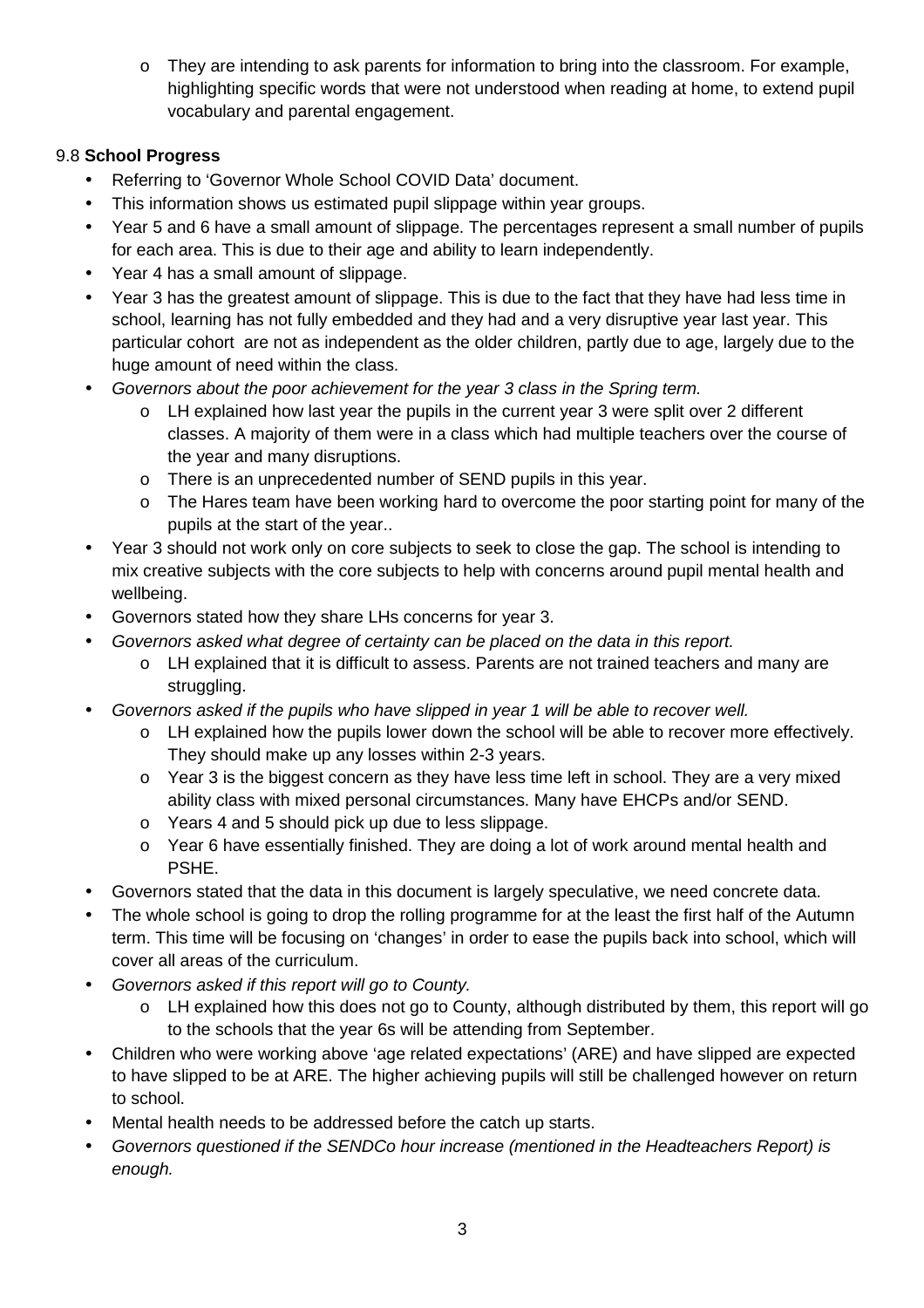$\circ$  They are intending to ask parents for information to bring into the classroom. For example, highlighting specific words that were not understood when reading at home, to extend pupil vocabulary and parental engagement.

# 9.8 **School Progress**

- Referring to 'Governor Whole School COVID Data' document.
- This information shows us estimated pupil slippage within year groups.
- Year 5 and 6 have a small amount of slippage. The percentages represent a small number of pupils for each area. This is due to their age and ability to learn independently.
- Year 4 has a small amount of slippage.
- Year 3 has the greatest amount of slippage. This is due to the fact that they have had less time in school, learning has not fully embedded and they had and a very disruptive year last year. This particular cohort are not as independent as the older children, partly due to age, largely due to the huge amount of need within the class.
- Governors about the poor achievement for the year 3 class in the Spring term.
	- $\circ$  LH explained how last year the pupils in the current year 3 were split over 2 different classes. A majority of them were in a class which had multiple teachers over the course of the year and many disruptions.
	- o There is an unprecedented number of SEND pupils in this year.
	- o The Hares team have been working hard to overcome the poor starting point for many of the pupils at the start of the year..
- Year 3 should not work only on core subjects to seek to close the gap. The school is intending to mix creative subjects with the core subjects to help with concerns around pupil mental health and wellbeing.
- Governors stated how they share LHs concerns for year 3.
- Governors asked what degree of certainty can be placed on the data in this report.
	- o LH explained that it is difficult to assess. Parents are not trained teachers and many are struggling.
- Governors asked if the pupils who have slipped in year 1 will be able to recover well.
	- o LH explained how the pupils lower down the school will be able to recover more effectively. They should make up any losses within 2-3 years.
	- o Year 3 is the biggest concern as they have less time left in school. They are a very mixed ability class with mixed personal circumstances. Many have EHCPs and/or SEND.
	- o Years 4 and 5 should pick up due to less slippage.
	- o Year 6 have essentially finished. They are doing a lot of work around mental health and PSHE.
- Governors stated that the data in this document is largely speculative, we need concrete data.
- The whole school is going to drop the rolling programme for at the least the first half of the Autumn term. This time will be focusing on 'changes' in order to ease the pupils back into school, which will cover all areas of the curriculum.
- Governors asked if this report will go to County.
	- o LH explained how this does not go to County, although distributed by them, this report will go to the schools that the year 6s will be attending from September.
- Children who were working above 'age related expectations' (ARE) and have slipped are expected to have slipped to be at ARE. The higher achieving pupils will still be challenged however on return to school.
- Mental health needs to be addressed before the catch up starts.
- Governors questioned if the SENDCo hour increase (mentioned in the Headteachers Report) is enough.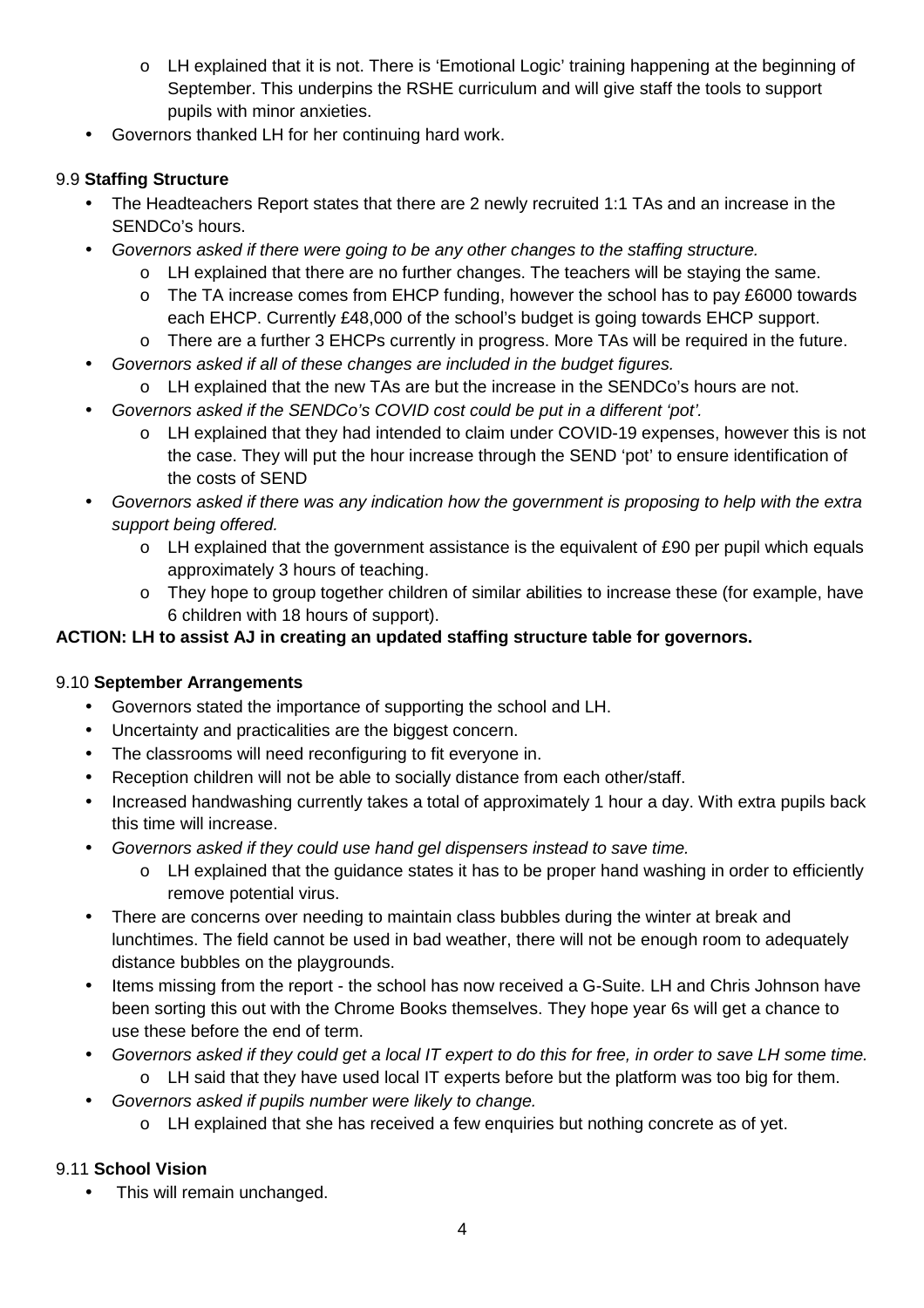- o LH explained that it is not. There is 'Emotional Logic' training happening at the beginning of September. This underpins the RSHE curriculum and will give staff the tools to support pupils with minor anxieties.
- Governors thanked LH for her continuing hard work.

# 9.9 **Staffing Structure**

- The Headteachers Report states that there are 2 newly recruited 1:1 TAs and an increase in the SENDCo's hours.
- Governors asked if there were going to be any other changes to the staffing structure.
	- o LH explained that there are no further changes. The teachers will be staying the same.
	- o The TA increase comes from EHCP funding, however the school has to pay £6000 towards each EHCP. Currently £48,000 of the school's budget is going towards EHCP support.
	- o There are a further 3 EHCPs currently in progress. More TAs will be required in the future.
- Governors asked if all of these changes are included in the budget figures.
	- o LH explained that the new TAs are but the increase in the SENDCo's hours are not.
- Governors asked if the SENDCo's COVID cost could be put in a different 'pot'.
	- o LH explained that they had intended to claim under COVID-19 expenses, however this is not the case. They will put the hour increase through the SEND 'pot' to ensure identification of the costs of SEND
- Governors asked if there was any indication how the government is proposing to help with the extra support being offered.
	- o LH explained that the government assistance is the equivalent of £90 per pupil which equals approximately 3 hours of teaching.
	- o They hope to group together children of similar abilities to increase these (for example, have 6 children with 18 hours of support).

# **ACTION: LH to assist AJ in creating an updated staffing structure table for governors.**

### 9.10 **September Arrangements**

- Governors stated the importance of supporting the school and LH.
- Uncertainty and practicalities are the biggest concern.
- The classrooms will need reconfiguring to fit everyone in.
- Reception children will not be able to socially distance from each other/staff.
- Increased handwashing currently takes a total of approximately 1 hour a day. With extra pupils back this time will increase.
- Governors asked if they could use hand gel dispensers instead to save time.
	- o LH explained that the guidance states it has to be proper hand washing in order to efficiently remove potential virus.
- There are concerns over needing to maintain class bubbles during the winter at break and lunchtimes. The field cannot be used in bad weather, there will not be enough room to adequately distance bubbles on the playgrounds.
- Items missing from the report the school has now received a G-Suite. LH and Chris Johnson have been sorting this out with the Chrome Books themselves. They hope year 6s will get a chance to use these before the end of term.
- Governors asked if they could get a local IT expert to do this for free, in order to save LH some time.
	- o LH said that they have used local IT experts before but the platform was too big for them.
- Governors asked if pupils number were likely to change.
	- o LH explained that she has received a few enquiries but nothing concrete as of yet.

### 9.11 **School Vision**

This will remain unchanged.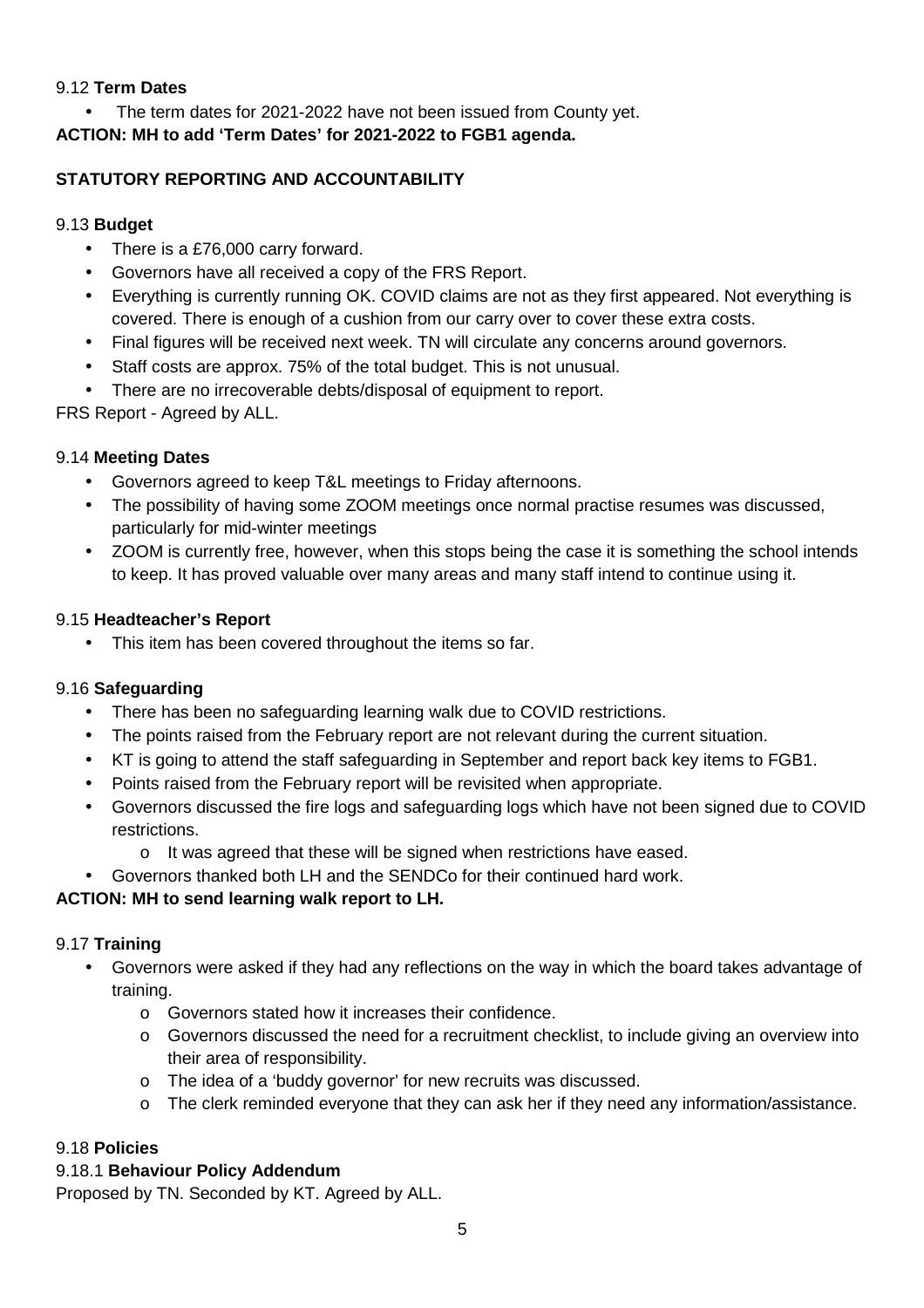#### 9.12 **Term Dates**

The term dates for 2021-2022 have not been issued from County yet.

**ACTION: MH to add 'Term Dates' for 2021-2022 to FGB1 agenda.** 

# **STATUTORY REPORTING AND ACCOUNTABILITY**

### 9.13 **Budget**

- There is a £76,000 carry forward.
- Governors have all received a copy of the FRS Report.
- Everything is currently running OK. COVID claims are not as they first appeared. Not everything is covered. There is enough of a cushion from our carry over to cover these extra costs.
- Final figures will be received next week. TN will circulate any concerns around governors.
- Staff costs are approx. 75% of the total budget. This is not unusual.
- There are no irrecoverable debts/disposal of equipment to report.

FRS Report - Agreed by ALL.

# 9.14 **Meeting Dates**

- Governors agreed to keep T&L meetings to Friday afternoons.
- The possibility of having some ZOOM meetings once normal practise resumes was discussed, particularly for mid-winter meetings
- ZOOM is currently free, however, when this stops being the case it is something the school intends to keep. It has proved valuable over many areas and many staff intend to continue using it.

# 9.15 **Headteacher's Report**

• This item has been covered throughout the items so far.

# 9.16 **Safeguarding**

- There has been no safeguarding learning walk due to COVID restrictions.
- The points raised from the February report are not relevant during the current situation.
- KT is going to attend the staff safeguarding in September and report back key items to FGB1.
- Points raised from the February report will be revisited when appropriate.
- Governors discussed the fire logs and safeguarding logs which have not been signed due to COVID restrictions.
	- o It was agreed that these will be signed when restrictions have eased.
- Governors thanked both LH and the SENDCo for their continued hard work.

# **ACTION: MH to send learning walk report to LH.**

### 9.17 **Training**

- Governors were asked if they had any reflections on the way in which the board takes advantage of training.
	- o Governors stated how it increases their confidence.
	- $\circ$  Governors discussed the need for a recruitment checklist, to include giving an overview into their area of responsibility.
	- o The idea of a 'buddy governor' for new recruits was discussed.
	- o The clerk reminded everyone that they can ask her if they need any information/assistance.

# 9.18 **Policies**

# 9.18.1 **Behaviour Policy Addendum**

Proposed by TN. Seconded by KT. Agreed by ALL.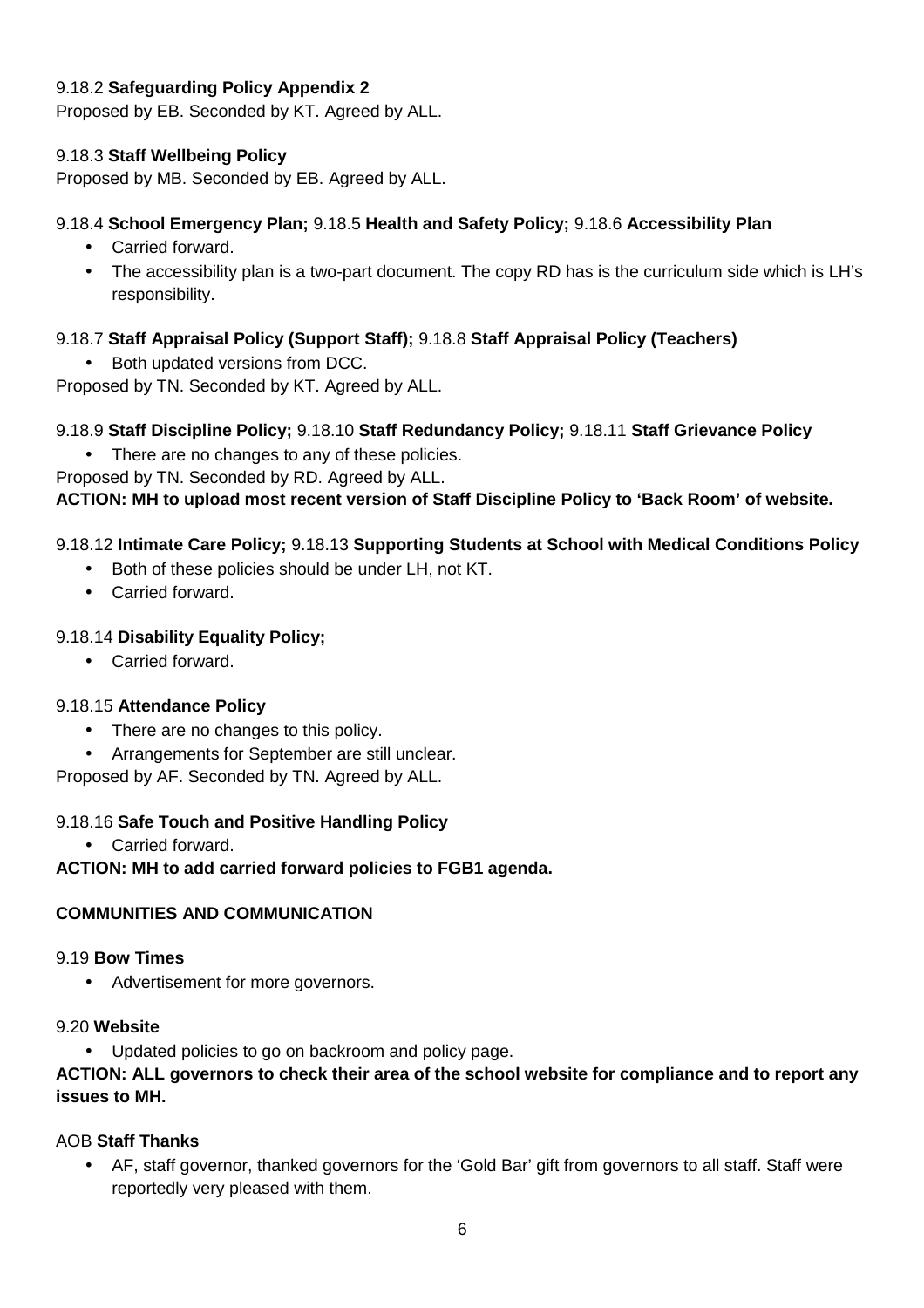### 9.18.2 **Safeguarding Policy Appendix 2**

Proposed by EB. Seconded by KT. Agreed by ALL.

#### 9.18.3 **Staff Wellbeing Policy**

Proposed by MB. Seconded by EB. Agreed by ALL.

#### 9.18.4 **School Emergency Plan;** 9.18.5 **Health and Safety Policy;** 9.18.6 **Accessibility Plan**

- Carried forward.
- The accessibility plan is a two-part document. The copy RD has is the curriculum side which is LH's responsibility.

### 9.18.7 **Staff Appraisal Policy (Support Staff);** 9.18.8 **Staff Appraisal Policy (Teachers)**

• Both updated versions from DCC.

Proposed by TN. Seconded by KT. Agreed by ALL.

#### 9.18.9 **Staff Discipline Policy;** 9.18.10 **Staff Redundancy Policy;** 9.18.11 **Staff Grievance Policy**

• There are no changes to any of these policies.

Proposed by TN. Seconded by RD. Agreed by ALL.

**ACTION: MH to upload most recent version of Staff Discipline Policy to 'Back Room' of website.** 

### 9.18.12 **Intimate Care Policy;** 9.18.13 **Supporting Students at School with Medical Conditions Policy**

- Both of these policies should be under LH, not KT.
	- Carried forward.

#### 9.18.14 **Disability Equality Policy;**

• Carried forward.

#### 9.18.15 **Attendance Policy**

- There are no changes to this policy.
- Arrangements for September are still unclear.

Proposed by AF. Seconded by TN. Agreed by ALL.

#### 9.18.16 **Safe Touch and Positive Handling Policy**

• Carried forward.

#### **ACTION: MH to add carried forward policies to FGB1 agenda.**

### **COMMUNITIES AND COMMUNICATION**

#### 9.19 **Bow Times**

• Advertisement for more governors.

#### 9.20 **Website**

Updated policies to go on backroom and policy page.

#### **ACTION: ALL governors to check their area of the school website for compliance and to report any issues to MH.**

#### AOB **Staff Thanks**

• AF, staff governor, thanked governors for the 'Gold Bar' gift from governors to all staff. Staff were reportedly very pleased with them.